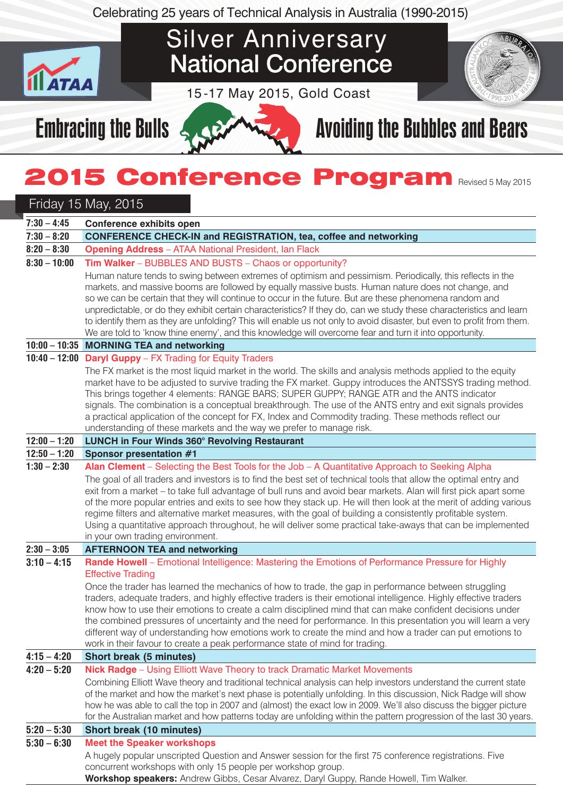Celebrating 25 years of Technical Analysis in Australia (1990-2015)

# Silver Anniversary National Conference

15 -17 May 2015, Gold Coast



# Embracing the Bulls  $\leq 2$  Avoiding the Bubbles and Bears

# **2015 Conference Program Revised 5 May 2015**

## Friday 15 May, 2015

**ATAA** 

| $7:30 - 4:45$  | <b>Conference exhibits open</b>                                                                                                                                                                                                                                                                                                                                                                                                                                                                                                                                                                                                                                                                                                                                                     |
|----------------|-------------------------------------------------------------------------------------------------------------------------------------------------------------------------------------------------------------------------------------------------------------------------------------------------------------------------------------------------------------------------------------------------------------------------------------------------------------------------------------------------------------------------------------------------------------------------------------------------------------------------------------------------------------------------------------------------------------------------------------------------------------------------------------|
| $7:30 - 8:20$  | <b>CONFERENCE CHECK-IN and REGISTRATION, tea, coffee and networking</b>                                                                                                                                                                                                                                                                                                                                                                                                                                                                                                                                                                                                                                                                                                             |
| $8:20 - 8:30$  | <b>Opening Address</b> - ATAA National President, Ian Flack                                                                                                                                                                                                                                                                                                                                                                                                                                                                                                                                                                                                                                                                                                                         |
| $8:30 - 10:00$ | Tim Walker - BUBBLES AND BUSTS - Chaos or opportunity?                                                                                                                                                                                                                                                                                                                                                                                                                                                                                                                                                                                                                                                                                                                              |
|                | Human nature tends to swing between extremes of optimism and pessimism. Periodically, this reflects in the<br>markets, and massive booms are followed by equally massive busts. Human nature does not change, and<br>so we can be certain that they will continue to occur in the future. But are these phenomena random and<br>unpredictable, or do they exhibit certain characteristics? If they do, can we study these characteristics and learn<br>to identify them as they are unfolding? This will enable us not only to avoid disaster, but even to profit from them.<br>We are told to 'know thine enemy', and this knowledge will overcome fear and turn it into opportunity.                                                                                              |
|                | 10:00 - 10:35 MORNING TEA and networking                                                                                                                                                                                                                                                                                                                                                                                                                                                                                                                                                                                                                                                                                                                                            |
|                | 10:40 - 12:00 Daryl Guppy - FX Trading for Equity Traders<br>The FX market is the most liquid market in the world. The skills and analysis methods applied to the equity<br>market have to be adjusted to survive trading the FX market. Guppy introduces the ANTSSYS trading method.<br>This brings together 4 elements: RANGE BARS; SUPER GUPPY; RANGE ATR and the ANTS indicator<br>signals. The combination is a conceptual breakthrough. The use of the ANTS entry and exit signals provides<br>a practical application of the concept for FX, Index and Commodity trading. These methods reflect our<br>understanding of these markets and the way we prefer to manage risk.                                                                                                  |
| $12:00 - 1:20$ | LUNCH in Four Winds 360° Revolving Restaurant                                                                                                                                                                                                                                                                                                                                                                                                                                                                                                                                                                                                                                                                                                                                       |
| $12:50 - 1:20$ | <b>Sponsor presentation #1</b>                                                                                                                                                                                                                                                                                                                                                                                                                                                                                                                                                                                                                                                                                                                                                      |
| $1:30 - 2:30$  | Alan Clement - Selecting the Best Tools for the Job - A Quantitative Approach to Seeking Alpha<br>The goal of all traders and investors is to find the best set of technical tools that allow the optimal entry and<br>exit from a market - to take full advantage of bull runs and avoid bear markets. Alan will first pick apart some<br>of the more popular entries and exits to see how they stack up. He will then look at the merit of adding various<br>regime filters and alternative market measures, with the goal of building a consistently profitable system.<br>Using a quantitative approach throughout, he will deliver some practical take-aways that can be implemented<br>in your own trading environment.                                                       |
| $2:30 - 3:05$  | <b>AFTERNOON TEA and networking</b>                                                                                                                                                                                                                                                                                                                                                                                                                                                                                                                                                                                                                                                                                                                                                 |
| $3:10 - 4:15$  | Rande Howell - Emotional Intelligence: Mastering the Emotions of Performance Pressure for Highly<br><b>Effective Trading</b><br>Once the trader has learned the mechanics of how to trade, the gap in performance between struggling<br>traders, adequate traders, and highly effective traders is their emotional intelligence. Highly effective traders<br>know how to use their emotions to create a calm disciplined mind that can make confident decisions under<br>the combined pressures of uncertainty and the need for performance. In this presentation you will learn a very<br>different way of understanding how emotions work to create the mind and how a trader can put emotions to<br>work in their favour to create a peak performance state of mind for trading. |
| $4:15 - 4:20$  | Short break (5 minutes)                                                                                                                                                                                                                                                                                                                                                                                                                                                                                                                                                                                                                                                                                                                                                             |
| $4:20 - 5:20$  | Nick Radge - Using Elliott Wave Theory to track Dramatic Market Movements<br>Combining Elliott Wave theory and traditional technical analysis can help investors understand the current state<br>of the market and how the market's next phase is potentially unfolding. In this discussion, Nick Radge will show<br>how he was able to call the top in 2007 and (almost) the exact low in 2009. We'll also discuss the bigger picture<br>for the Australian market and how patterns today are unfolding within the pattern progression of the last 30 years.                                                                                                                                                                                                                       |
| $5:20 - 5:30$  | <b>Short break (10 minutes)</b>                                                                                                                                                                                                                                                                                                                                                                                                                                                                                                                                                                                                                                                                                                                                                     |
| $5:30 - 6:30$  | <b>Meet the Speaker workshops</b><br>A hugely popular unscripted Question and Answer session for the first 75 conference registrations. Five<br>concurrent workshops with only 15 people per workshop group.                                                                                                                                                                                                                                                                                                                                                                                                                                                                                                                                                                        |

**Workshop speakers:** Andrew Gibbs, Cesar Alvarez, Daryl Guppy, Rande Howell, Tim Walker.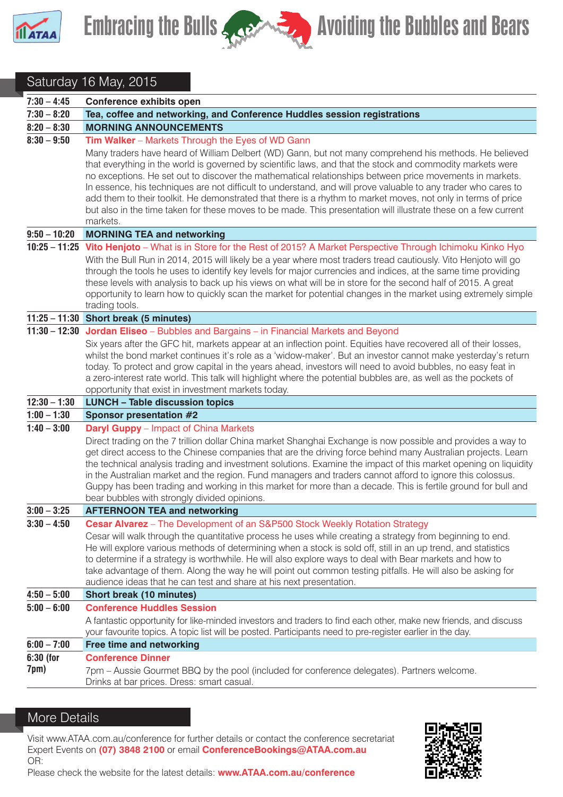



### Saturday 16 May, 2015

| $7:30 - 4:45$     | <b>Conference exhibits open</b>                                                                                                                                                                                                                                                                                                                                                                                                                                                                                                                                                                                                                                                                    |
|-------------------|----------------------------------------------------------------------------------------------------------------------------------------------------------------------------------------------------------------------------------------------------------------------------------------------------------------------------------------------------------------------------------------------------------------------------------------------------------------------------------------------------------------------------------------------------------------------------------------------------------------------------------------------------------------------------------------------------|
| $7:30 - 8:20$     | Tea, coffee and networking, and Conference Huddles session registrations                                                                                                                                                                                                                                                                                                                                                                                                                                                                                                                                                                                                                           |
| $8:20 - 8:30$     | <b>MORNING ANNOUNCEMENTS</b>                                                                                                                                                                                                                                                                                                                                                                                                                                                                                                                                                                                                                                                                       |
| $8:30 - 9:50$     | Tim Walker - Markets Through the Eyes of WD Gann                                                                                                                                                                                                                                                                                                                                                                                                                                                                                                                                                                                                                                                   |
|                   | Many traders have heard of William Delbert (WD) Gann, but not many comprehend his methods. He believed<br>that everything in the world is governed by scientific laws, and that the stock and commodity markets were<br>no exceptions. He set out to discover the mathematical relationships between price movements in markets.<br>In essence, his techniques are not difficult to understand, and will prove valuable to any trader who cares to<br>add them to their toolkit. He demonstrated that there is a rhythm to market moves, not only in terms of price<br>but also in the time taken for these moves to be made. This presentation will illustrate these on a few current<br>markets. |
| $9:50 - 10:20$    | <b>MORNING TEA and networking</b>                                                                                                                                                                                                                                                                                                                                                                                                                                                                                                                                                                                                                                                                  |
|                   | 10:25 - 11:25 Vito Henjoto - What is in Store for the Rest of 2015? A Market Perspective Through Ichimoku Kinko Hyo<br>With the Bull Run in 2014, 2015 will likely be a year where most traders tread cautiously. Vito Henjoto will go<br>through the tools he uses to identify key levels for major currencies and indices, at the same time providing<br>these levels with analysis to back up his views on what will be in store for the second half of 2015. A great<br>opportunity to learn how to quickly scan the market for potential changes in the market using extremely simple<br>trading tools.                                                                                       |
|                   | 11:25 - 11:30 Short break (5 minutes)                                                                                                                                                                                                                                                                                                                                                                                                                                                                                                                                                                                                                                                              |
|                   | 11:30 - 12:30 Jordan Eliseo - Bubbles and Bargains - in Financial Markets and Beyond                                                                                                                                                                                                                                                                                                                                                                                                                                                                                                                                                                                                               |
|                   | Six years after the GFC hit, markets appear at an inflection point. Equities have recovered all of their losses,<br>whilst the bond market continues it's role as a 'widow-maker'. But an investor cannot make yesterday's return<br>today. To protect and grow capital in the years ahead, investors will need to avoid bubbles, no easy feat in<br>a zero-interest rate world. This talk will highlight where the potential bubbles are, as well as the pockets of<br>opportunity that exist in investment markets today.                                                                                                                                                                        |
| $12:30 - 1:30$    | <b>LUNCH - Table discussion topics</b>                                                                                                                                                                                                                                                                                                                                                                                                                                                                                                                                                                                                                                                             |
| $1:00 - 1:30$     | <b>Sponsor presentation #2</b>                                                                                                                                                                                                                                                                                                                                                                                                                                                                                                                                                                                                                                                                     |
| $1:40 - 3:00$     | <b>Daryl Guppy</b> – Impact of China Markets<br>Direct trading on the 7 trillion dollar China market Shanghai Exchange is now possible and provides a way to<br>get direct access to the Chinese companies that are the driving force behind many Australian projects. Learn<br>the technical analysis trading and investment solutions. Examine the impact of this market opening on liquidity<br>in the Australian market and the region. Fund managers and traders cannot afford to ignore this colossus.<br>Guppy has been trading and working in this market for more than a decade. This is fertile ground for bull and<br>bear bubbles with strongly divided opinions.                      |
| $3:00 - 3:25$     | <b>AFTERNOON TEA and networking</b>                                                                                                                                                                                                                                                                                                                                                                                                                                                                                                                                                                                                                                                                |
| $3:30 - 4:50$     | Cesar Alvarez - The Development of an S&P500 Stock Weekly Rotation Strategy<br>Cesar will walk through the quantitative process he uses while creating a strategy from beginning to end.<br>He will explore various methods of determining when a stock is sold off, still in an up trend, and statistics<br>to determine if a strategy is worthwhile. He will also explore ways to deal with Bear markets and how to<br>take advantage of them. Along the way he will point out common testing pitfalls. He will also be asking for<br>audience ideas that he can test and share at his next presentation.                                                                                        |
| $4:50 - 5:00$     | <b>Short break (10 minutes)</b>                                                                                                                                                                                                                                                                                                                                                                                                                                                                                                                                                                                                                                                                    |
| $5:00 - 6:00$     | <b>Conference Huddles Session</b><br>A fantastic opportunity for like-minded investors and traders to find each other, make new friends, and discuss<br>your favourite topics. A topic list will be posted. Participants need to pre-register earlier in the day.                                                                                                                                                                                                                                                                                                                                                                                                                                  |
| $6:00 - 7:00$     | <b>Free time and networking</b>                                                                                                                                                                                                                                                                                                                                                                                                                                                                                                                                                                                                                                                                    |
| 6:30 (for<br>7pm) | <b>Conference Dinner</b><br>7pm - Aussie Gourmet BBQ by the pool (included for conference delegates). Partners welcome.<br>Drinks at bar prices. Dress: smart casual.                                                                                                                                                                                                                                                                                                                                                                                                                                                                                                                              |

#### More Details

Visit www.ATAA.com.au/conference for further details or contact the conference secretariat Expert Events on **(07) 3848 2100** or email **ConferenceBookings@ATAA.com.au** OR: